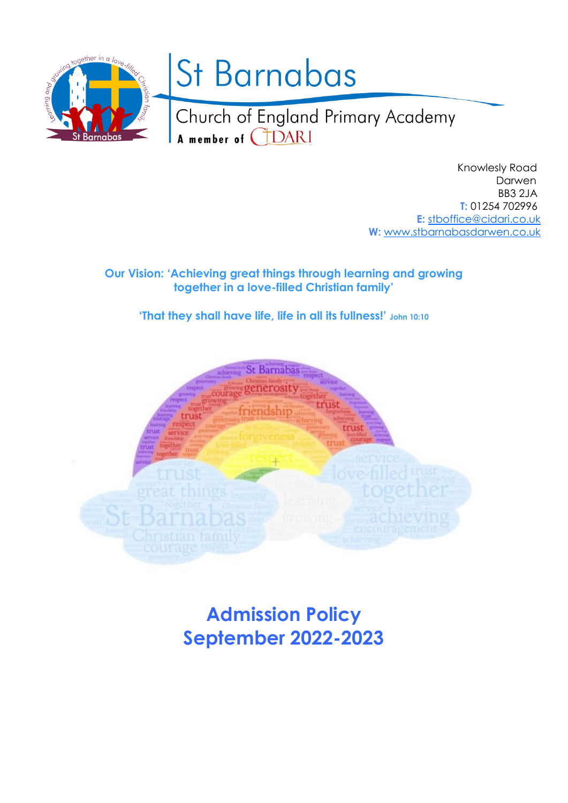

 Knowlesly Road Darwen BB3 2JA  **T:** 01254 702996 **E:** [stboffice@cidari.co.uk](mailto:stboffice@cidari.co.uk)  **W:** [www.stbarnabasdarwen.co.uk](http://www.stbarnabasdarwen.co.uk/)

**Our Vision: 'Achieving great things through learning and growing together in a love-filled Christian family'**

**'That they shall have life, life in all its fullness!' John 10:10**



**Admission Policy September 2022-2023**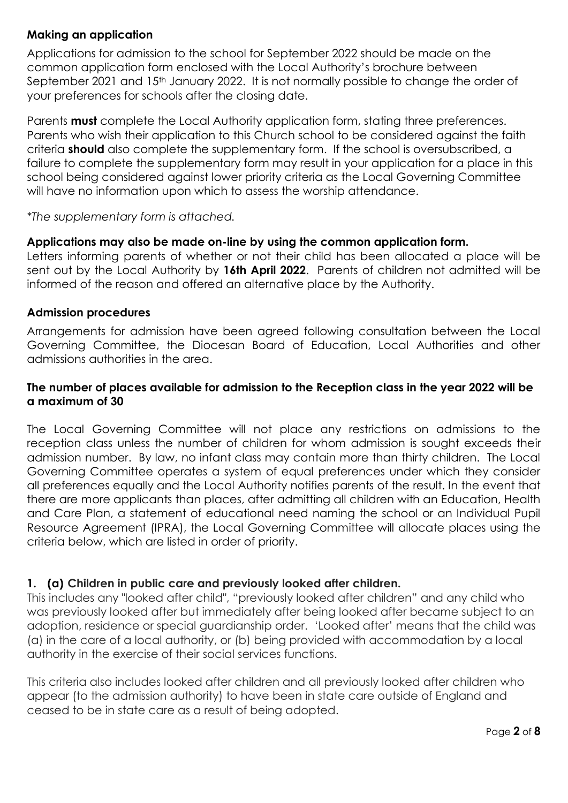# **Making an application**

Applications for admission to the school for September 2022 should be made on the common application form enclosed with the Local Authority's brochure between September 2021 and 15<sup>th</sup> January 2022. It is not normally possible to change the order of your preferences for schools after the closing date.

Parents **must** complete the Local Authority application form, stating three preferences. Parents who wish their application to this Church school to be considered against the faith criteria **should** also complete the supplementary form. If the school is oversubscribed, a failure to complete the supplementary form may result in your application for a place in this school being considered against lower priority criteria as the Local Governing Committee will have no information upon which to assess the worship attendance.

*\*The supplementary form is attached.*

# **Applications may also be made on-line by using the common application form.**

Letters informing parents of whether or not their child has been allocated a place will be sent out by the Local Authority by **16th April 2022**. Parents of children not admitted will be informed of the reason and offered an alternative place by the Authority.

# **Admission procedures**

Arrangements for admission have been agreed following consultation between the Local Governing Committee, the Diocesan Board of Education, Local Authorities and other admissions authorities in the area.

# **The number of places available for admission to the Reception class in the year 2022 will be a maximum of 30**

The Local Governing Committee will not place any restrictions on admissions to the reception class unless the number of children for whom admission is sought exceeds their admission number. By law, no infant class may contain more than thirty children. The Local Governing Committee operates a system of equal preferences under which they consider all preferences equally and the Local Authority notifies parents of the result. In the event that there are more applicants than places, after admitting all children with an Education, Health and Care Plan, a statement of educational need naming the school or an Individual Pupil Resource Agreement (IPRA), the Local Governing Committee will allocate places using the criteria below, which are listed in order of priority.

# **1. (a) Children in public care and previously looked after children.**

This includes any "looked after child", "previously looked after children" and any child who was previously looked after but immediately after being looked after became subject to an adoption, residence or special guardianship order. 'Looked after' means that the child was (a) in the care of a local authority, or (b) being provided with accommodation by a local authority in the exercise of their social services functions.

This criteria also includes looked after children and all previously looked after children who appear (to the admission authority) to have been in state care outside of England and ceased to be in state care as a result of being adopted.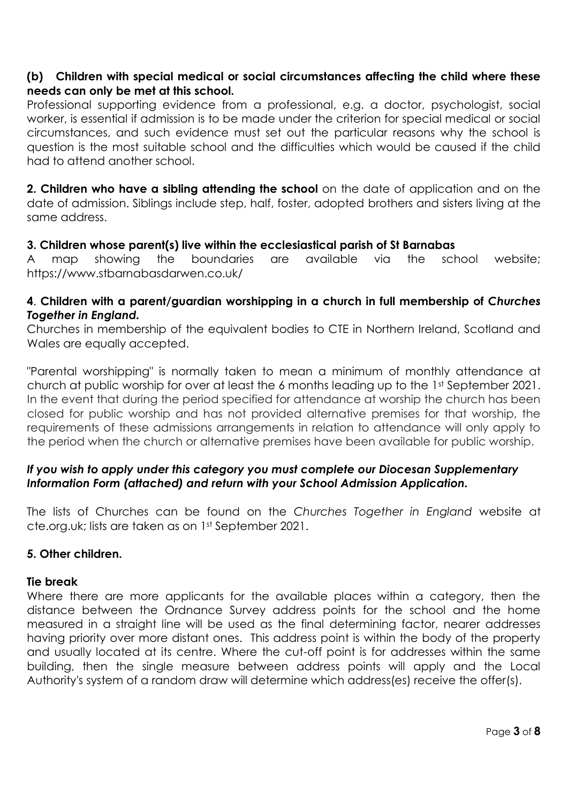# **(b) Children with special medical or social circumstances affecting the child where these needs can only be met at this school.**

Professional supporting evidence from a professional, e.g. a doctor, psychologist, social worker, is essential if admission is to be made under the criterion for special medical or social circumstances, and such evidence must set out the particular reasons why the school is question is the most suitable school and the difficulties which would be caused if the child had to attend another school.

**2. Children who have a sibling attending the school** on the date of application and on the date of admission. Siblings include step, half, foster, adopted brothers and sisters living at the same address.

# **3. Children whose parent(s) live within the ecclesiastical parish of St Barnabas**

A map showing the boundaries are available via the school website; https://www.stbarnabasdarwen.co.uk/

# **4**. **Children with a parent/guardian worshipping in a church in full membership of** *Churches Together in England.*

Churches in membership of the equivalent bodies to CTE in Northern Ireland, Scotland and Wales are equally accepted.

"Parental worshipping" is normally taken to mean a minimum of monthly attendance at church at public worship for over at least the 6 months leading up to the 1st September 2021. In the event that during the period specified for attendance at worship the church has been closed for public worship and has not provided alternative premises for that worship, the requirements of these admissions arrangements in relation to attendance will only apply to the period when the church or alternative premises have been available for public worship.

# *If you wish to apply under this category you must complete our Diocesan Supplementary Information Form (attached) and return with your School Admission Application.*

The lists of Churches can be found on the *Churches Together in England* website at cte.org.uk; lists are taken as on 1st September 2021.

# **5. Other children.**

# **Tie break**

Where there are more applicants for the available places within a category, then the distance between the Ordnance Survey address points for the school and the home measured in a straight line will be used as the final determining factor, nearer addresses having priority over more distant ones. This address point is within the body of the property and usually located at its centre. Where the cut-off point is for addresses within the same building, then the single measure between address points will apply and the Local Authority's system of a random draw will determine which address(es) receive the offer(s).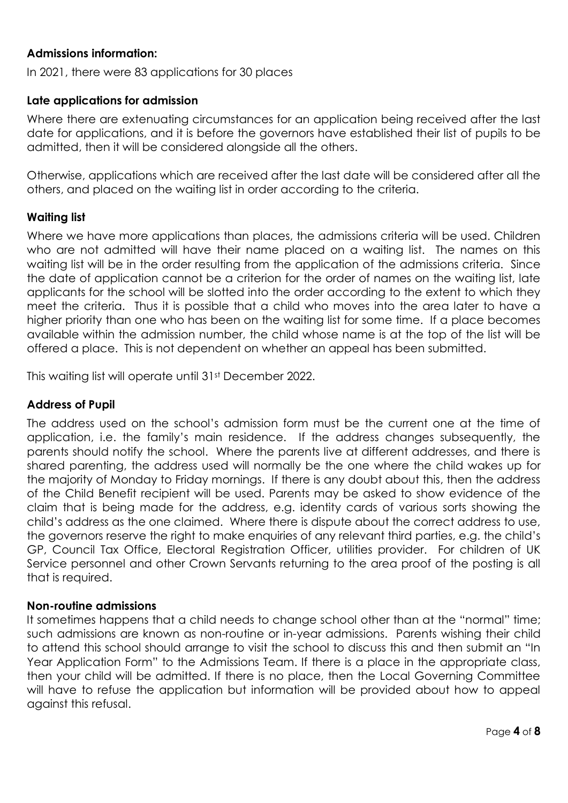# **Admissions information:**

In 2021, there were 83 applications for 30 places

### **Late applications for admission**

Where there are extenuating circumstances for an application being received after the last date for applications, and it is before the governors have established their list of pupils to be admitted, then it will be considered alongside all the others.

Otherwise, applications which are received after the last date will be considered after all the others, and placed on the waiting list in order according to the criteria.

### **Waiting list**

Where we have more applications than places, the admissions criteria will be used. Children who are not admitted will have their name placed on a waiting list. The names on this waiting list will be in the order resulting from the application of the admissions criteria. Since the date of application cannot be a criterion for the order of names on the waiting list, late applicants for the school will be slotted into the order according to the extent to which they meet the criteria. Thus it is possible that a child who moves into the area later to have a higher priority than one who has been on the waiting list for some time. If a place becomes available within the admission number, the child whose name is at the top of the list will be offered a place. This is not dependent on whether an appeal has been submitted.

This waiting list will operate until 31st December 2022.

### **Address of Pupil**

The address used on the school's admission form must be the current one at the time of application, i.e. the family's main residence. If the address changes subsequently, the parents should notify the school. Where the parents live at different addresses, and there is shared parenting, the address used will normally be the one where the child wakes up for the majority of Monday to Friday mornings. If there is any doubt about this, then the address of the Child Benefit recipient will be used. Parents may be asked to show evidence of the claim that is being made for the address, e.g. identity cards of various sorts showing the child's address as the one claimed. Where there is dispute about the correct address to use, the governors reserve the right to make enquiries of any relevant third parties, e.g. the child's GP, Council Tax Office, Electoral Registration Officer, utilities provider. For children of UK Service personnel and other Crown Servants returning to the area proof of the posting is all that is required.

#### **Non-routine admissions**

It sometimes happens that a child needs to change school other than at the "normal" time; such admissions are known as non-routine or in-year admissions. Parents wishing their child to attend this school should arrange to visit the school to discuss this and then submit an "In Year Application Form" to the Admissions Team. If there is a place in the appropriate class, then your child will be admitted. If there is no place, then the Local Governing Committee will have to refuse the application but information will be provided about how to appeal against this refusal.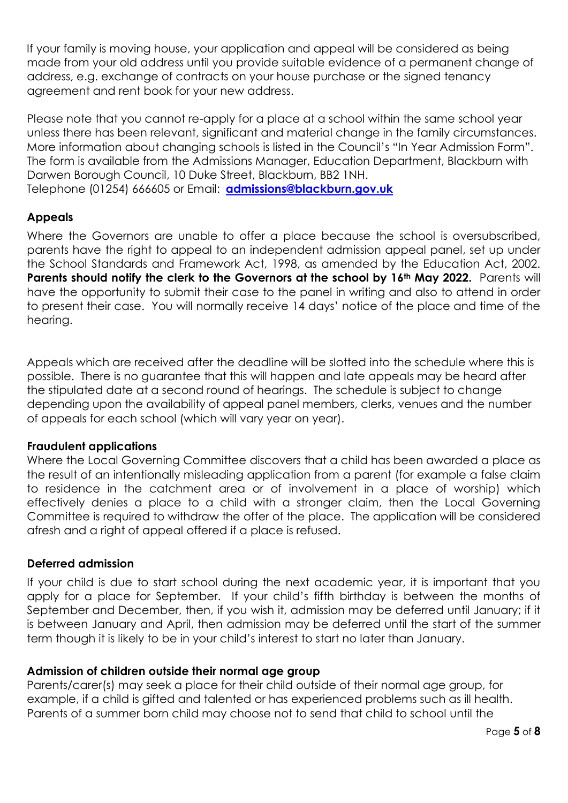If your family is moving house, your application and appeal will be considered as being made from your old address until you provide suitable evidence of a permanent change of address, e.g. exchange of contracts on your house purchase or the signed tenancy agreement and rent book for your new address.

Please note that you cannot re-apply for a place at a school within the same school year unless there has been relevant, significant and material change in the family circumstances. More information about changing schools is listed in the Council's "In Year Admission Form". The form is available from the Admissions Manager, Education Department, Blackburn with Darwen Borough Council, 10 Duke Street, Blackburn, BB2 1NH. Telephone (01254) 666605 or Email: **[admissions@blackburn.gov.uk](mailto:admissions@blackburn.gov.uk)**

# **Appeals**

Where the Governors are unable to offer a place because the school is oversubscribed, parents have the right to appeal to an independent admission appeal panel, set up under the School Standards and Framework Act, 1998, as amended by the Education Act, 2002. **Parents should notify the clerk to the Governors at the school by 16th May 2022.** Parents will have the opportunity to submit their case to the panel in writing and also to attend in order to present their case. You will normally receive 14 days' notice of the place and time of the hearing.

Appeals which are received after the deadline will be slotted into the schedule where this is possible. There is no guarantee that this will happen and late appeals may be heard after the stipulated date at a second round of hearings. The schedule is subject to change depending upon the availability of appeal panel members, clerks, venues and the number of appeals for each school (which will vary year on year).

# **Fraudulent applications**

Where the Local Governing Committee discovers that a child has been awarded a place as the result of an intentionally misleading application from a parent (for example a false claim to residence in the catchment area or of involvement in a place of worship) which effectively denies a place to a child with a stronger claim, then the Local Governing Committee is required to withdraw the offer of the place. The application will be considered afresh and a right of appeal offered if a place is refused.

# **Deferred admission**

If your child is due to start school during the next academic year, it is important that you apply for a place for September. If your child's fifth birthday is between the months of September and December, then, if you wish it, admission may be deferred until January; if it is between January and April, then admission may be deferred until the start of the summer term though it is likely to be in your child's interest to start no later than January.

# **Admission of children outside their normal age group**

Parents/carer(s) may seek a place for their child outside of their normal age group, for example, if a child is gifted and talented or has experienced problems such as ill health. Parents of a summer born child may choose not to send that child to school until the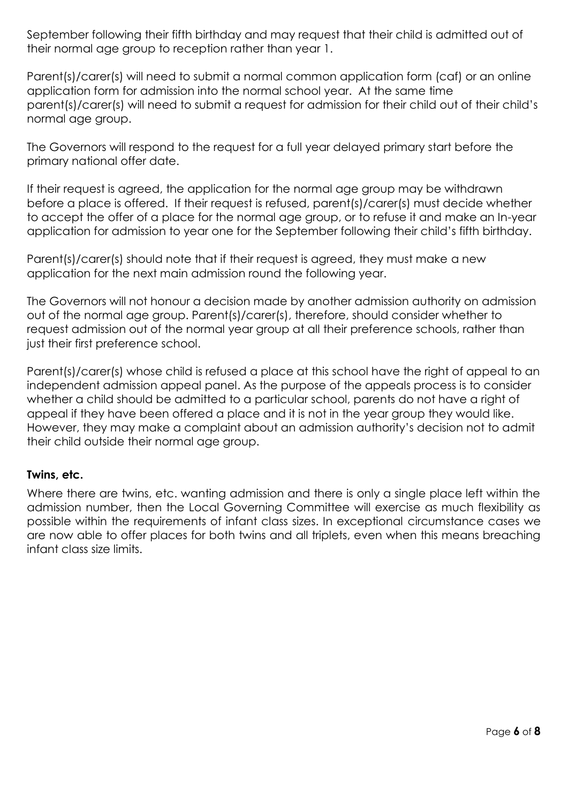September following their fifth birthday and may request that their child is admitted out of their normal age group to reception rather than year 1.

Parent(s)/carer(s) will need to submit a normal common application form (caf) or an online application form for admission into the normal school year. At the same time parent(s)/carer(s) will need to submit a request for admission for their child out of their child's normal age group.

The Governors will respond to the request for a full year delayed primary start before the primary national offer date.

If their request is agreed, the application for the normal age group may be withdrawn before a place is offered. If their request is refused, parent(s)/carer(s) must decide whether to accept the offer of a place for the normal age group, or to refuse it and make an In-year application for admission to year one for the September following their child's fifth birthday.

Parent(s)/carer(s) should note that if their request is agreed, they must make a new application for the next main admission round the following year.

The Governors will not honour a decision made by another admission authority on admission out of the normal age group. Parent(s)/carer(s), therefore, should consider whether to request admission out of the normal year group at all their preference schools, rather than just their first preference school.

Parent(s)/carer(s) whose child is refused a place at this school have the right of appeal to an independent admission appeal panel. As the purpose of the appeals process is to consider whether a child should be admitted to a particular school, parents do not have a right of appeal if they have been offered a place and it is not in the year group they would like. However, they may make a complaint about an admission authority's decision not to admit their child outside their normal age group.

# **Twins, etc.**

Where there are twins, etc. wanting admission and there is only a single place left within the admission number, then the Local Governing Committee will exercise as much flexibility as possible within the requirements of infant class sizes. In exceptional circumstance cases we are now able to offer places for both twins and all triplets, even when this means breaching infant class size limits.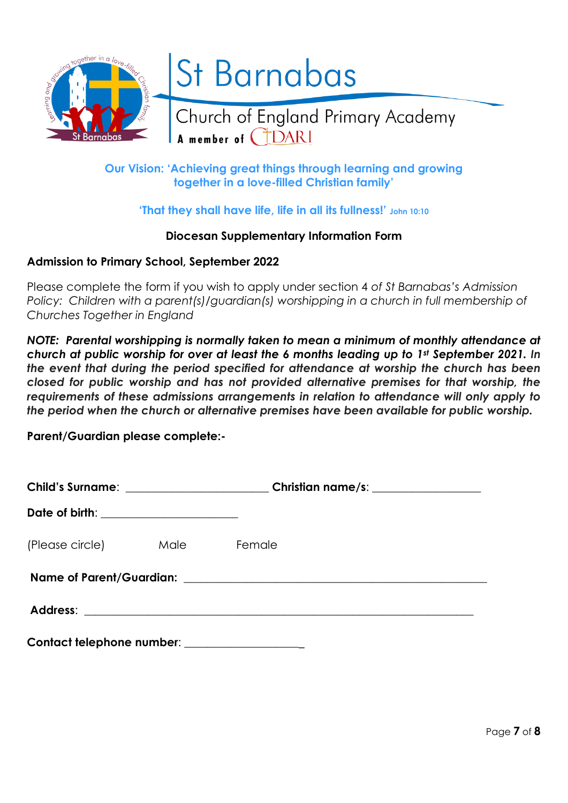

# **Our Vision: 'Achieving great things through learning and growing together in a love-filled Christian family'**

# **'That they shall have life, life in all its fullness!' John 10:10**

#### **Diocesan Supplementary Information Form**

### **Admission to Primary School, September 2022**

Please complete the form if you wish to apply under section 4 *of St Barnabas's Admission Policy: Children with a parent(s)/guardian(s) worshipping in a church in full membership of Churches Together in England*

*NOTE: Parental worshipping is normally taken to mean a minimum of monthly attendance at church at public worship for over at least the 6 months leading up to 1st September 2021. In the event that during the period specified for attendance at worship the church has been closed for public worship and has not provided alternative premises for that worship, the requirements of these admissions arrangements in relation to attendance will only apply to the period when the church or alternative premises have been available for public worship.* 

**Parent/Guardian please complete:-**

|                                       | Child's Surname: ________________________Christian name/s: _____________________ |  |
|---------------------------------------|----------------------------------------------------------------------------------|--|
| Date of birth: ______________________ |                                                                                  |  |
| (Please circle) Male Female           |                                                                                  |  |
|                                       |                                                                                  |  |
|                                       |                                                                                  |  |
| Contact telephone number:             |                                                                                  |  |